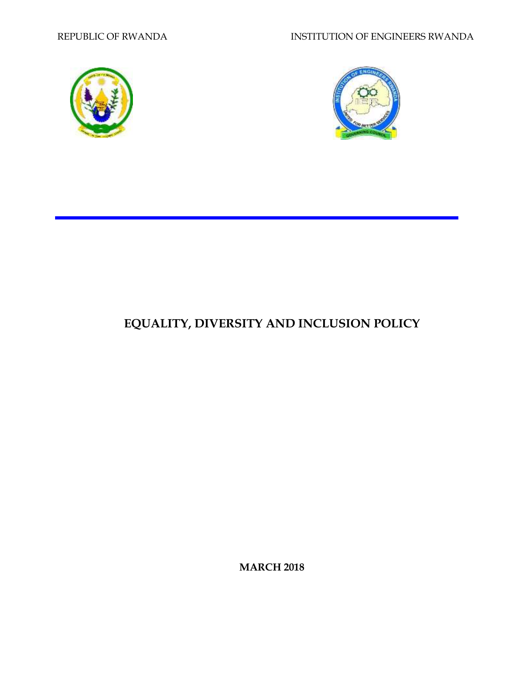



# **EQUALITY, DIVERSITY AND INCLUSION POLICY**

**MARCH 2018**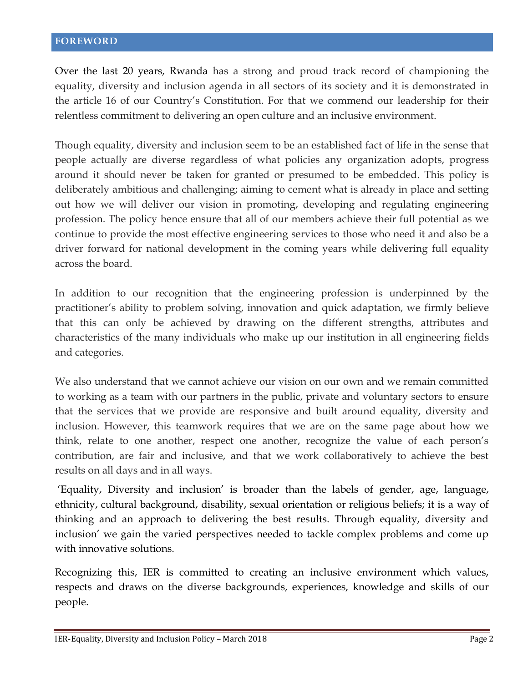<span id="page-1-0"></span>Over the last 20 years, Rwanda has a strong and proud track record of championing the equality, diversity and inclusion agenda in all sectors of its society and it is demonstrated in the article 16 of our Country's Constitution. For that we commend our leadership for their relentless commitment to delivering an open culture and an inclusive environment.

Though equality, diversity and inclusion seem to be an established fact of life in the sense that people actually are diverse regardless of what policies any organization adopts, progress around it should never be taken for granted or presumed to be embedded. This policy is deliberately ambitious and challenging; aiming to cement what is already in place and setting out how we will deliver our vision in promoting, developing and regulating engineering profession. The policy hence ensure that all of our members achieve their full potential as we continue to provide the most effective engineering services to those who need it and also be a driver forward for national development in the coming years while delivering full equality across the board.

In addition to our recognition that the engineering profession is underpinned by the practitioner's ability to problem solving, innovation and quick adaptation, we firmly believe that this can only be achieved by drawing on the different strengths, attributes and characteristics of the many individuals who make up our institution in all engineering fields and categories.

We also understand that we cannot achieve our vision on our own and we remain committed to working as a team with our partners in the public, private and voluntary sectors to ensure that the services that we provide are responsive and built around equality, diversity and inclusion. However, this teamwork requires that we are on the same page about how we think, relate to one another, respect one another, recognize the value of each person's contribution, are fair and inclusive, and that we work collaboratively to achieve the best results on all days and in all ways.

'Equality, Diversity and inclusion' is broader than the labels of gender, age, language, ethnicity, cultural background, disability, sexual orientation or religious beliefs; it is a way of thinking and an approach to delivering the best results. Through equality, diversity and inclusion' we gain the varied perspectives needed to tackle complex problems and come up with innovative solutions.

Recognizing this, IER is committed to creating an inclusive environment which values, respects and draws on the diverse backgrounds, experiences, knowledge and skills of our people.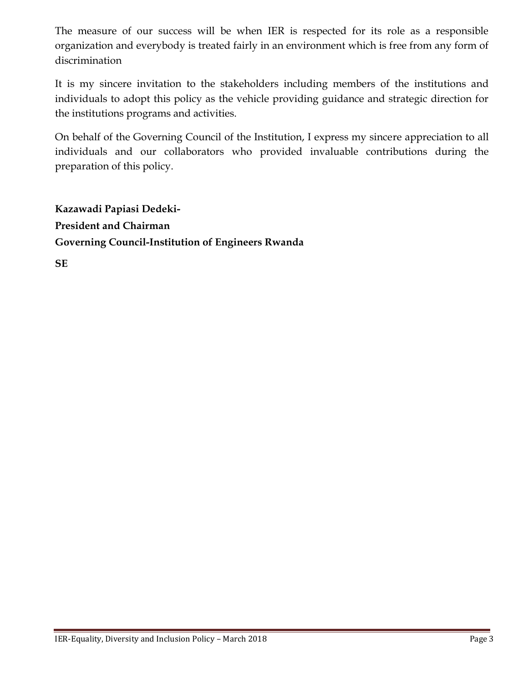The measure of our success will be when IER is respected for its role as a responsible organization and everybody is treated fairly in an environment which is free from any form of discrimination

It is my sincere invitation to the stakeholders including members of the institutions and individuals to adopt this policy as the vehicle providing guidance and strategic direction for the institutions programs and activities.

On behalf of the Governing Council of the Institution, I express my sincere appreciation to all individuals and our collaborators who provided invaluable contributions during the preparation of this policy.

**Kazawadi Papiasi Dedeki-President and Chairman Governing Council-Institution of Engineers Rwanda**

**SE**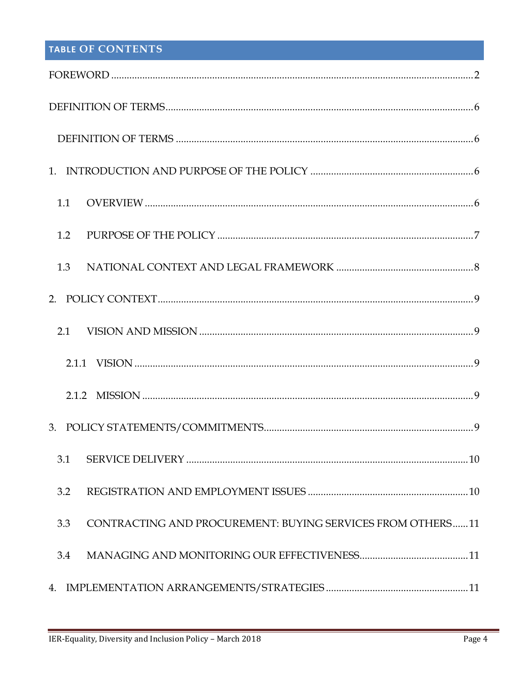# TABLE OF CONTENTS

| 1.1                                                               |  |  |
|-------------------------------------------------------------------|--|--|
| 1.2                                                               |  |  |
| 1.3                                                               |  |  |
|                                                                   |  |  |
|                                                                   |  |  |
|                                                                   |  |  |
|                                                                   |  |  |
|                                                                   |  |  |
| 3.1                                                               |  |  |
| 3.2                                                               |  |  |
| CONTRACTING AND PROCUREMENT: BUYING SERVICES FROM OTHERS11<br>3.3 |  |  |
| 3.4                                                               |  |  |
|                                                                   |  |  |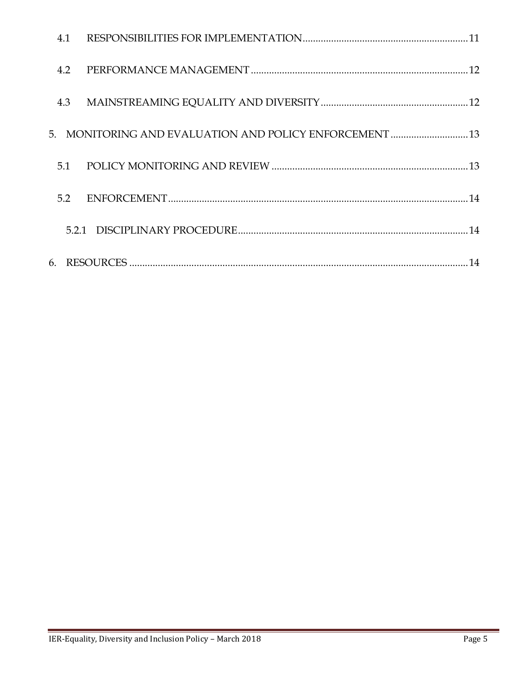| 4.1 |                                                         |  |
|-----|---------------------------------------------------------|--|
| 4.2 |                                                         |  |
| 4.3 |                                                         |  |
|     | 5. MONITORING AND EVALUATION AND POLICY ENFORCEMENT  13 |  |
| 5.1 |                                                         |  |
| 5.2 |                                                         |  |
|     |                                                         |  |
| 6.  |                                                         |  |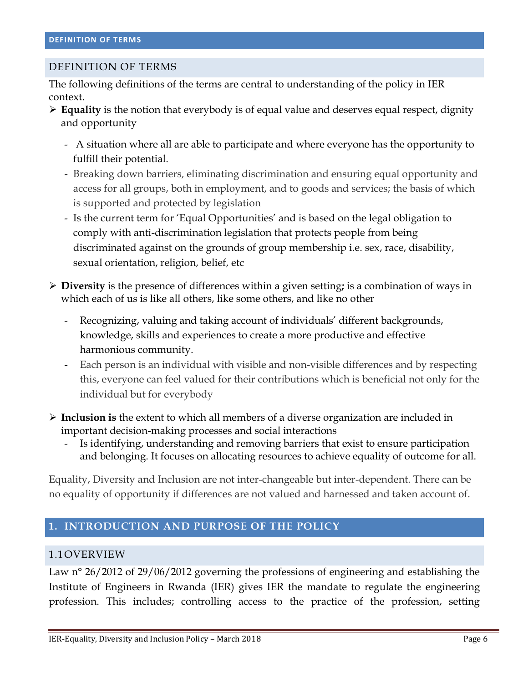#### <span id="page-5-1"></span><span id="page-5-0"></span>DEFINITION OF TERMS

The following definitions of the terms are central to understanding of the policy in IER context.

- **Equality** is the notion that everybody is of equal value and deserves equal respect, dignity and opportunity
	- A situation where all are able to participate and where everyone has the opportunity to fulfill their potential.
	- Breaking down barriers, eliminating discrimination and ensuring equal opportunity and access for all groups, both in employment, and to goods and services; the basis of which is supported and protected by legislation
	- Is the current term for 'Equal Opportunities' and is based on the legal obligation to comply with anti-discrimination legislation that protects people from being discriminated against on the grounds of group membership i.e. sex, race, disability, sexual orientation, religion, belief, etc
- **Diversity** is the presence of differences within a given setting**;** is a combination of ways in which each of us is like all others, like some others, and like no other
	- Recognizing, valuing and taking account of individuals' different backgrounds, knowledge, skills and experiences to create a more productive and effective harmonious community.
	- Each person is an individual with visible and non-visible differences and by respecting this, everyone can feel valued for their contributions which is beneficial not only for the individual but for everybody
- **Inclusion is** the extent to which all members of a diverse organization are included in important decision-making processes and social interactions
	- Is identifying, understanding and removing barriers that exist to ensure participation and belonging. It focuses on allocating resources to achieve equality of outcome for all.

Equality, Diversity and Inclusion are not inter-changeable but inter-dependent. There can be no equality of opportunity if differences are not valued and harnessed and taken account of.

#### <span id="page-5-2"></span>**1. INTRODUCTION AND PURPOSE OF THE POLICY**

#### <span id="page-5-3"></span>1.1OVERVIEW

Law n° 26/2012 of 29/06/2012 governing the professions of engineering and establishing the Institute of Engineers in Rwanda (IER) gives IER the mandate to regulate the engineering profession. This includes; controlling access to the practice of the profession, setting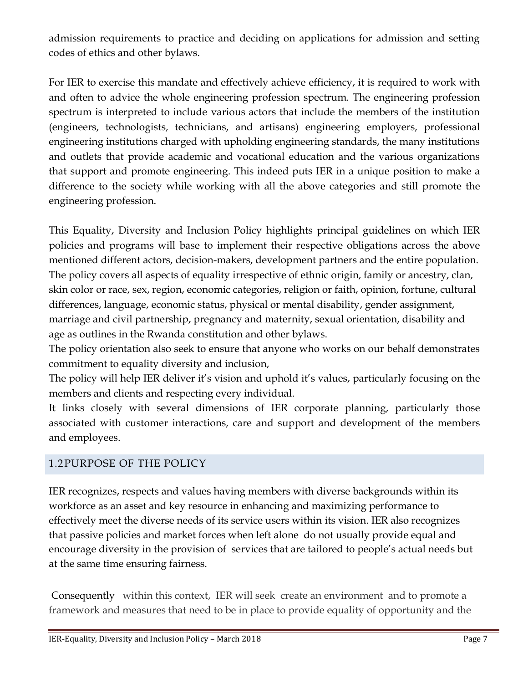admission requirements to practice and deciding on applications for admission and setting codes of ethics and other bylaws.

For IER to exercise this mandate and effectively achieve efficiency, it is required to work with and often to advice the whole engineering profession spectrum. The engineering profession spectrum is interpreted to include various actors that include the members of the institution (engineers, technologists, technicians, and artisans) engineering employers, professional engineering institutions charged with upholding engineering standards, the many institutions and outlets that provide academic and vocational education and the various organizations that support and promote engineering. This indeed puts IER in a unique position to make a difference to the society while working with all the above categories and still promote the engineering profession.

This Equality, Diversity and Inclusion Policy highlights principal guidelines on which IER policies and programs will base to implement their respective obligations across the above mentioned different actors, decision-makers, development partners and the entire population. The policy covers all aspects of equality irrespective of ethnic origin, family or ancestry, clan, skin color or race, sex, region, economic categories, religion or faith, opinion, fortune, cultural differences, language, economic status, physical or mental disability, gender assignment, marriage and civil partnership, pregnancy and maternity, sexual orientation, disability and age as outlines in the Rwanda constitution and other bylaws.

The policy orientation also seek to ensure that anyone who works on our behalf demonstrates commitment to equality diversity and inclusion,

The policy will help IER deliver it's vision and uphold it's values, particularly focusing on the members and clients and respecting every individual.

It links closely with several dimensions of IER corporate planning, particularly those associated with customer interactions, care and support and development of the members and employees.

## <span id="page-6-0"></span>1.2PURPOSE OF THE POLICY

IER recognizes, respects and values having members with diverse backgrounds within its workforce as an asset and key resource in enhancing and maximizing performance to effectively meet the diverse needs of its service users within its vision. IER also recognizes that passive policies and market forces when left alone do not usually provide equal and encourage diversity in the provision of services that are tailored to people's actual needs but at the same time ensuring fairness.

Consequently within this context, IER will seek create an environment and to promote a framework and measures that need to be in place to provide equality of opportunity and the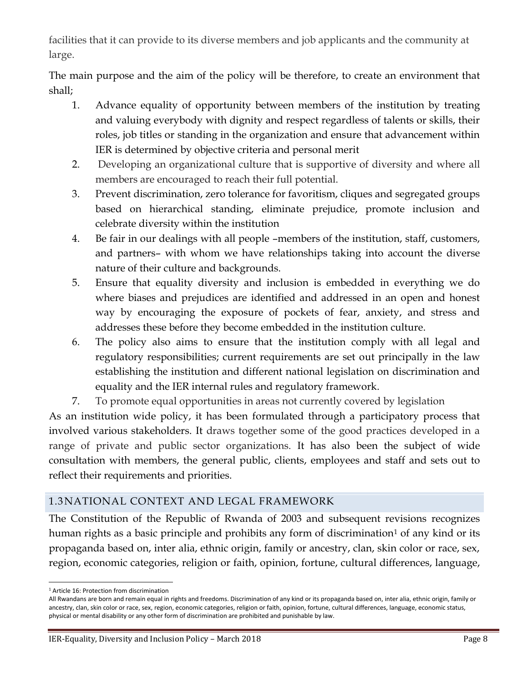facilities that it can provide to its diverse members and job applicants and the community at large.

The main purpose and the aim of the policy will be therefore, to create an environment that shall;

- 1. Advance equality of opportunity between members of the institution by treating and valuing everybody with dignity and respect regardless of talents or skills, their roles, job titles or standing in the organization and ensure that advancement within IER is determined by objective criteria and personal merit
- 2. Developing an organizational culture that is supportive of diversity and where all members are encouraged to reach their full potential.
- 3. Prevent discrimination, zero tolerance for favoritism, cliques and segregated groups based on hierarchical standing, eliminate prejudice, promote inclusion and celebrate diversity within the institution
- 4. Be fair in our dealings with all people –members of the institution, staff, customers, and partners– with whom we have relationships taking into account the diverse nature of their culture and backgrounds.
- 5. Ensure that equality diversity and inclusion is embedded in everything we do where biases and prejudices are identified and addressed in an open and honest way by encouraging the exposure of pockets of fear, anxiety, and stress and addresses these before they become embedded in the institution culture.
- 6. The policy also aims to ensure that the institution comply with all legal and regulatory responsibilities; current requirements are set out principally in the law establishing the institution and different national legislation on discrimination and equality and the IER internal rules and regulatory framework.
- 7. To promote equal opportunities in areas not currently covered by legislation

As an institution wide policy, it has been formulated through a participatory process that involved various stakeholders. It draws together some of the good practices developed in a range of private and public sector organizations. It has also been the subject of wide consultation with members, the general public, clients, employees and staff and sets out to reflect their requirements and priorities.

## <span id="page-7-0"></span>1.3NATIONAL CONTEXT AND LEGAL FRAMEWORK

The Constitution of the Republic of Rwanda of 2003 and subsequent revisions recognizes human rights as a basic principle and prohibits any form of discrimination<sup>1</sup> of any kind or its propaganda based on, inter alia, ethnic origin, family or ancestry, clan, skin color or race, sex, region, economic categories, religion or faith, opinion, fortune, cultural differences, language,

 $\overline{a}$ <sup>1</sup> Article 16: Protection from discrimination

All Rwandans are born and remain equal in rights and freedoms. Discrimination of any kind or its propaganda based on, inter alia, ethnic origin, family or ancestry, clan, skin color or race, sex, region, economic categories, religion or faith, opinion, fortune, cultural differences, language, economic status, physical or mental disability or any other form of discrimination are prohibited and punishable by law.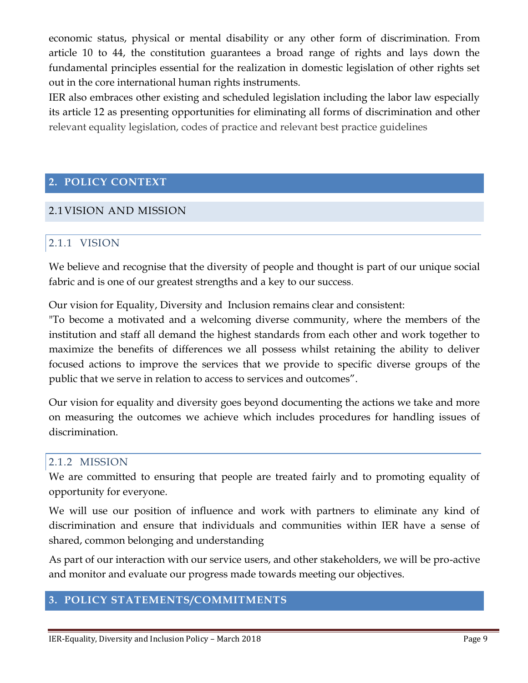economic status, physical or mental disability or any other form of discrimination. From article 10 to 44, the constitution guarantees a broad range of rights and lays down the fundamental principles essential for the realization in domestic legislation of other rights set out in the core international human rights instruments.

IER also embraces other existing and scheduled legislation including the labor law especially its article 12 as presenting opportunities for eliminating all forms of discrimination and other relevant equality legislation, codes of practice and relevant best practice guidelines

#### <span id="page-8-0"></span>**2. POLICY CONTEXT**

#### <span id="page-8-2"></span><span id="page-8-1"></span>2.1VISION AND MISSION

#### 2.1.1 VISION

We believe and recognise that the diversity of people and thought is part of our unique social fabric and is one of our greatest strengths and a key to our success.

Our vision for Equality, Diversity and Inclusion remains clear and consistent:

"To become a motivated and a welcoming diverse community, where the members of the institution and staff all demand the highest standards from each other and work together to maximize the benefits of differences we all possess whilst retaining the ability to deliver focused actions to improve the services that we provide to specific diverse groups of the public that we serve in relation to access to services and outcomes".

Our vision for equality and diversity goes beyond documenting the actions we take and more on measuring the outcomes we achieve which includes procedures for handling issues of discrimination.

#### <span id="page-8-3"></span>2.1.2 MISSION

We are committed to ensuring that people are treated fairly and to promoting equality of opportunity for everyone.

We will use our position of influence and work with partners to eliminate any kind of discrimination and ensure that individuals and communities within IER have a sense of shared, common belonging and understanding

As part of our interaction with our service users, and other stakeholders, we will be pro-active and monitor and evaluate our progress made towards meeting our objectives.

#### <span id="page-8-4"></span>**3. POLICY STATEMENTS/COMMITMENTS**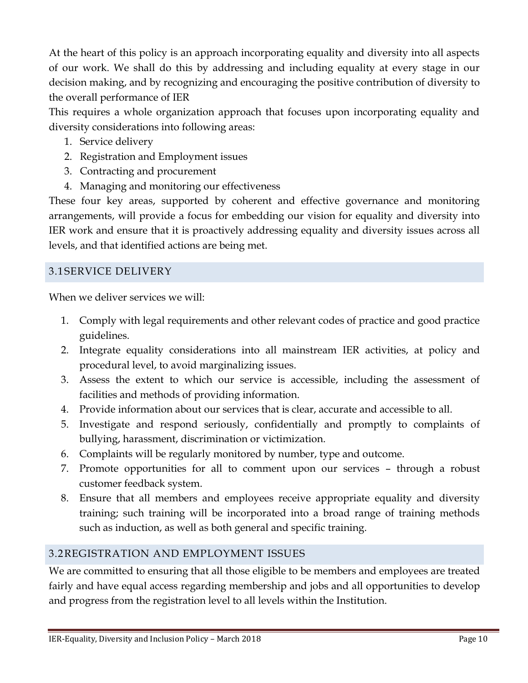At the heart of this policy is an approach incorporating equality and diversity into all aspects of our work. We shall do this by addressing and including equality at every stage in our decision making, and by recognizing and encouraging the positive contribution of diversity to the overall performance of IER

This requires a whole organization approach that focuses upon incorporating equality and diversity considerations into following areas:

- 1. Service delivery
- 2. Registration and Employment issues
- 3. Contracting and procurement
- 4. Managing and monitoring our effectiveness

These four key areas, supported by coherent and effective governance and monitoring arrangements, will provide a focus for embedding our vision for equality and diversity into IER work and ensure that it is proactively addressing equality and diversity issues across all levels, and that identified actions are being met.

## <span id="page-9-0"></span>3.1 SERVICE DELIVERY

When we deliver services we will:

- 1. Comply with legal requirements and other relevant codes of practice and good practice guidelines.
- 2. Integrate equality considerations into all mainstream IER activities, at policy and procedural level, to avoid marginalizing issues.
- 3. Assess the extent to which our service is accessible, including the assessment of facilities and methods of providing information.
- 4. Provide information about our services that is clear, accurate and accessible to all.
- 5. Investigate and respond seriously, confidentially and promptly to complaints of bullying, harassment, discrimination or victimization.
- 6. Complaints will be regularly monitored by number, type and outcome.
- 7. Promote opportunities for all to comment upon our services through a robust customer feedback system.
- 8. Ensure that all members and employees receive appropriate equality and diversity training; such training will be incorporated into a broad range of training methods such as induction, as well as both general and specific training.

## <span id="page-9-1"></span>3.2REGISTRATION AND EMPLOYMENT ISSUES

We are committed to ensuring that all those eligible to be members and employees are treated fairly and have equal access regarding membership and jobs and all opportunities to develop and progress from the registration level to all levels within the Institution.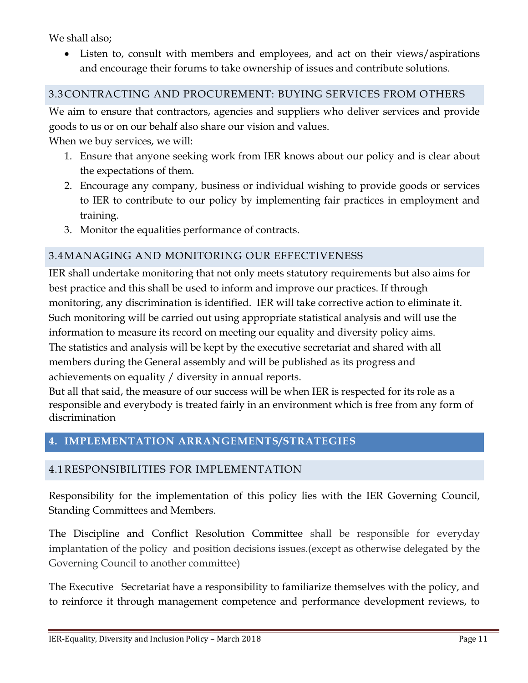We shall also;

 Listen to, consult with members and employees, and act on their views/aspirations and encourage their forums to take ownership of issues and contribute solutions.

#### <span id="page-10-0"></span>3.3CONTRACTING AND PROCUREMENT: BUYING SERVICES FROM OTHERS

We aim to ensure that contractors, agencies and suppliers who deliver services and provide goods to us or on our behalf also share our vision and values.

When we buy services, we will:

- 1. Ensure that anyone seeking work from IER knows about our policy and is clear about the expectations of them.
- 2. Encourage any company, business or individual wishing to provide goods or services to IER to contribute to our policy by implementing fair practices in employment and training.
- 3. Monitor the equalities performance of contracts.

## <span id="page-10-1"></span>3.4MANAGING AND MONITORING OUR EFFECTIVENESS

IER shall undertake monitoring that not only meets statutory requirements but also aims for best practice and this shall be used to inform and improve our practices. If through monitoring, any discrimination is identified. IER will take corrective action to eliminate it. Such monitoring will be carried out using appropriate statistical analysis and will use the information to measure its record on meeting our equality and diversity policy aims. The statistics and analysis will be kept by the executive secretariat and shared with all members during the General assembly and will be published as its progress and achievements on equality / diversity in annual reports.

But all that said, the measure of our success will be when IER is respected for its role as a responsible and everybody is treated fairly in an environment which is free from any form of discrimination

# <span id="page-10-2"></span>**4. IMPLEMENTATION ARRANGEMENTS/STRATEGIES**

## <span id="page-10-3"></span>4.1RESPONSIBILITIES FOR IMPLEMENTATION

Responsibility for the implementation of this policy lies with the IER Governing Council, Standing Committees and Members.

The Discipline and Conflict Resolution Committee shall be responsible for everyday implantation of the policy and position decisions issues.(except as otherwise delegated by the Governing Council to another committee)

The Executive Secretariat have a responsibility to familiarize themselves with the policy, and to reinforce it through management competence and performance development reviews, to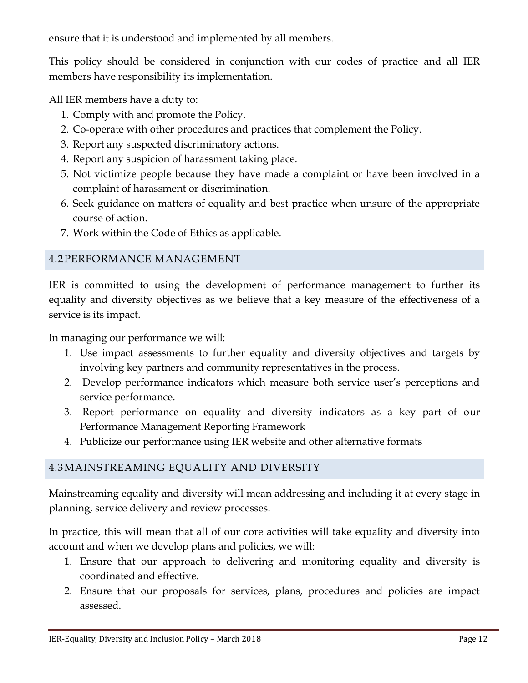ensure that it is understood and implemented by all members.

This policy should be considered in conjunction with our codes of practice and all IER members have responsibility its implementation.

All IER members have a duty to:

- 1. Comply with and promote the Policy.
- 2. Co-operate with other procedures and practices that complement the Policy.
- 3. Report any suspected discriminatory actions.
- 4. Report any suspicion of harassment taking place.
- 5. Not victimize people because they have made a complaint or have been involved in a complaint of harassment or discrimination.
- 6. Seek guidance on matters of equality and best practice when unsure of the appropriate course of action.
- 7. Work within the Code of Ethics as applicable.

## <span id="page-11-0"></span>4.2PERFORMANCE MANAGEMENT

IER is committed to using the development of performance management to further its equality and diversity objectives as we believe that a key measure of the effectiveness of a service is its impact.

In managing our performance we will:

- 1. Use impact assessments to further equality and diversity objectives and targets by involving key partners and community representatives in the process.
- 2. Develop performance indicators which measure both service user's perceptions and service performance.
- 3. Report performance on equality and diversity indicators as a key part of our Performance Management Reporting Framework
- 4. Publicize our performance using IER website and other alternative formats

# <span id="page-11-1"></span>4.3MAINSTREAMING EQUALITY AND DIVERSITY

Mainstreaming equality and diversity will mean addressing and including it at every stage in planning, service delivery and review processes.

In practice, this will mean that all of our core activities will take equality and diversity into account and when we develop plans and policies, we will:

- 1. Ensure that our approach to delivering and monitoring equality and diversity is coordinated and effective.
- 2. Ensure that our proposals for services, plans, procedures and policies are impact assessed.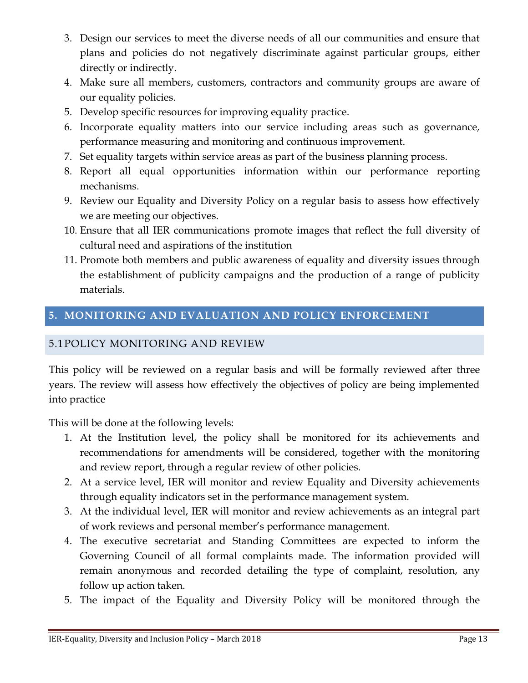- 3. Design our services to meet the diverse needs of all our communities and ensure that plans and policies do not negatively discriminate against particular groups, either directly or indirectly.
- 4. Make sure all members, customers, contractors and community groups are aware of our equality policies.
- 5. Develop specific resources for improving equality practice.
- 6. Incorporate equality matters into our service including areas such as governance, performance measuring and monitoring and continuous improvement.
- 7. Set equality targets within service areas as part of the business planning process.
- 8. Report all equal opportunities information within our performance reporting mechanisms.
- 9. Review our Equality and Diversity Policy on a regular basis to assess how effectively we are meeting our objectives.
- 10. Ensure that all IER communications promote images that reflect the full diversity of cultural need and aspirations of the institution
- 11. Promote both members and public awareness of equality and diversity issues through the establishment of publicity campaigns and the production of a range of publicity materials.

# <span id="page-12-0"></span>**5. MONITORING AND EVALUATION AND POLICY ENFORCEMENT**

## <span id="page-12-1"></span>5.1POLICY MONITORING AND REVIEW

This policy will be reviewed on a regular basis and will be formally reviewed after three years. The review will assess how effectively the objectives of policy are being implemented into practice

This will be done at the following levels:

- 1. At the Institution level, the policy shall be monitored for its achievements and recommendations for amendments will be considered, together with the monitoring and review report, through a regular review of other policies.
- 2. At a service level, IER will monitor and review Equality and Diversity achievements through equality indicators set in the performance management system.
- 3. At the individual level, IER will monitor and review achievements as an integral part of work reviews and personal member's performance management.
- 4. The executive secretariat and Standing Committees are expected to inform the Governing Council of all formal complaints made. The information provided will remain anonymous and recorded detailing the type of complaint, resolution, any follow up action taken.
- 5. The impact of the Equality and Diversity Policy will be monitored through the